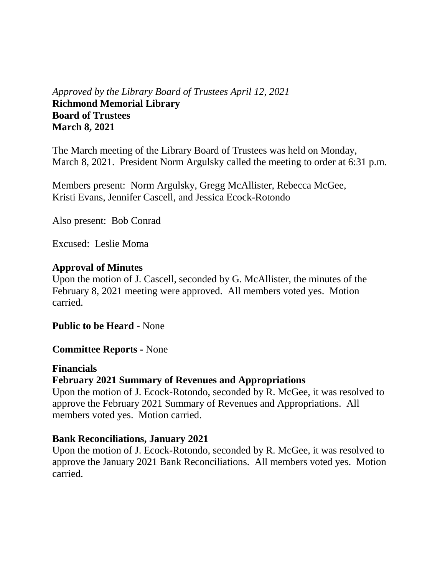# *Approved by the Library Board of Trustees April 12, 2021* **Richmond Memorial Library Board of Trustees March 8, 2021**

The March meeting of the Library Board of Trustees was held on Monday, March 8, 2021. President Norm Argulsky called the meeting to order at 6:31 p.m.

Members present: Norm Argulsky, Gregg McAllister, Rebecca McGee, Kristi Evans, Jennifer Cascell, and Jessica Ecock-Rotondo

Also present: Bob Conrad

Excused: Leslie Moma

#### **Approval of Minutes**

Upon the motion of J. Cascell, seconded by G. McAllister, the minutes of the February 8, 2021 meeting were approved. All members voted yes. Motion carried.

**Public to be Heard -** None

**Committee Reports -** None

#### **Financials**

# **February 2021 Summary of Revenues and Appropriations**

Upon the motion of J. Ecock-Rotondo, seconded by R. McGee, it was resolved to approve the February 2021 Summary of Revenues and Appropriations. All members voted yes. Motion carried.

# **Bank Reconciliations, January 2021**

Upon the motion of J. Ecock-Rotondo, seconded by R. McGee, it was resolved to approve the January 2021 Bank Reconciliations. All members voted yes. Motion carried.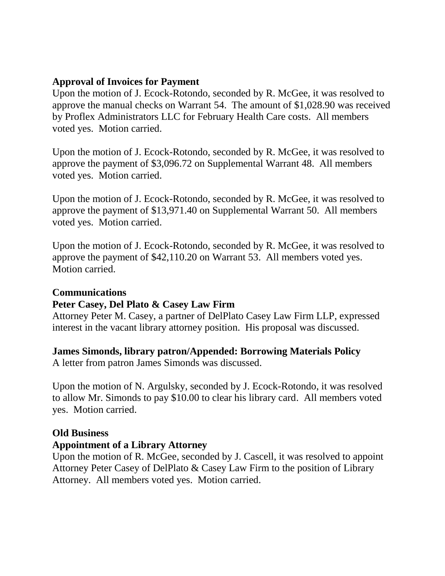# **Approval of Invoices for Payment**

Upon the motion of J. Ecock-Rotondo, seconded by R. McGee, it was resolved to approve the manual checks on Warrant 54. The amount of \$1,028.90 was received by Proflex Administrators LLC for February Health Care costs. All members voted yes. Motion carried.

Upon the motion of J. Ecock-Rotondo, seconded by R. McGee, it was resolved to approve the payment of \$3,096.72 on Supplemental Warrant 48. All members voted yes. Motion carried.

Upon the motion of J. Ecock-Rotondo, seconded by R. McGee, it was resolved to approve the payment of \$13,971.40 on Supplemental Warrant 50. All members voted yes. Motion carried.

Upon the motion of J. Ecock-Rotondo, seconded by R. McGee, it was resolved to approve the payment of \$42,110.20 on Warrant 53. All members voted yes. Motion carried.

#### **Communications**

# **Peter Casey, Del Plato & Casey Law Firm**

Attorney Peter M. Casey, a partner of DelPlato Casey Law Firm LLP, expressed interest in the vacant library attorney position. His proposal was discussed.

# **James Simonds, library patron/Appended: Borrowing Materials Policy**

A letter from patron James Simonds was discussed.

Upon the motion of N. Argulsky, seconded by J. Ecock-Rotondo, it was resolved to allow Mr. Simonds to pay \$10.00 to clear his library card. All members voted yes. Motion carried.

# **Old Business**

# **Appointment of a Library Attorney**

Upon the motion of R. McGee, seconded by J. Cascell, it was resolved to appoint Attorney Peter Casey of DelPlato & Casey Law Firm to the position of Library Attorney. All members voted yes. Motion carried.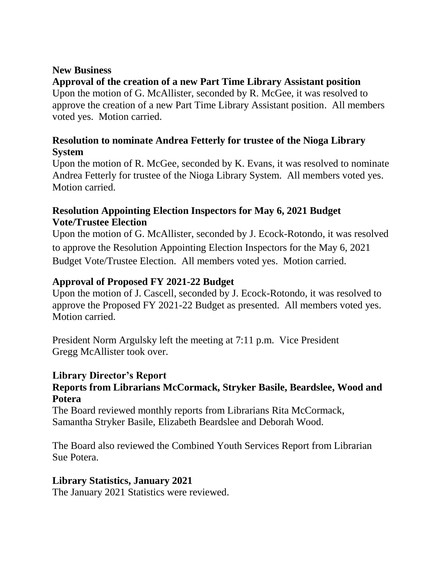#### **New Business**

# **Approval of the creation of a new Part Time Library Assistant position**

Upon the motion of G. McAllister, seconded by R. McGee, it was resolved to approve the creation of a new Part Time Library Assistant position. All members voted yes. Motion carried.

# **Resolution to nominate Andrea Fetterly for trustee of the Nioga Library System**

Upon the motion of R. McGee, seconded by K. Evans, it was resolved to nominate Andrea Fetterly for trustee of the Nioga Library System. All members voted yes. Motion carried.

# **Resolution Appointing Election Inspectors for May 6, 2021 Budget Vote/Trustee Election**

Upon the motion of G. McAllister, seconded by J. Ecock-Rotondo, it was resolved to approve the Resolution Appointing Election Inspectors for the May 6, 2021 Budget Vote/Trustee Election. All members voted yes. Motion carried.

# **Approval of Proposed FY 2021-22 Budget**

Upon the motion of J. Cascell, seconded by J. Ecock-Rotondo, it was resolved to approve the Proposed FY 2021-22 Budget as presented. All members voted yes. Motion carried.

President Norm Argulsky left the meeting at 7:11 p.m. Vice President Gregg McAllister took over.

# **Library Director's Report**

# **Reports from Librarians McCormack, Stryker Basile, Beardslee, Wood and Potera**

The Board reviewed monthly reports from Librarians Rita McCormack, Samantha Stryker Basile, Elizabeth Beardslee and Deborah Wood.

The Board also reviewed the Combined Youth Services Report from Librarian Sue Potera.

# **Library Statistics, January 2021**

The January 2021 Statistics were reviewed.